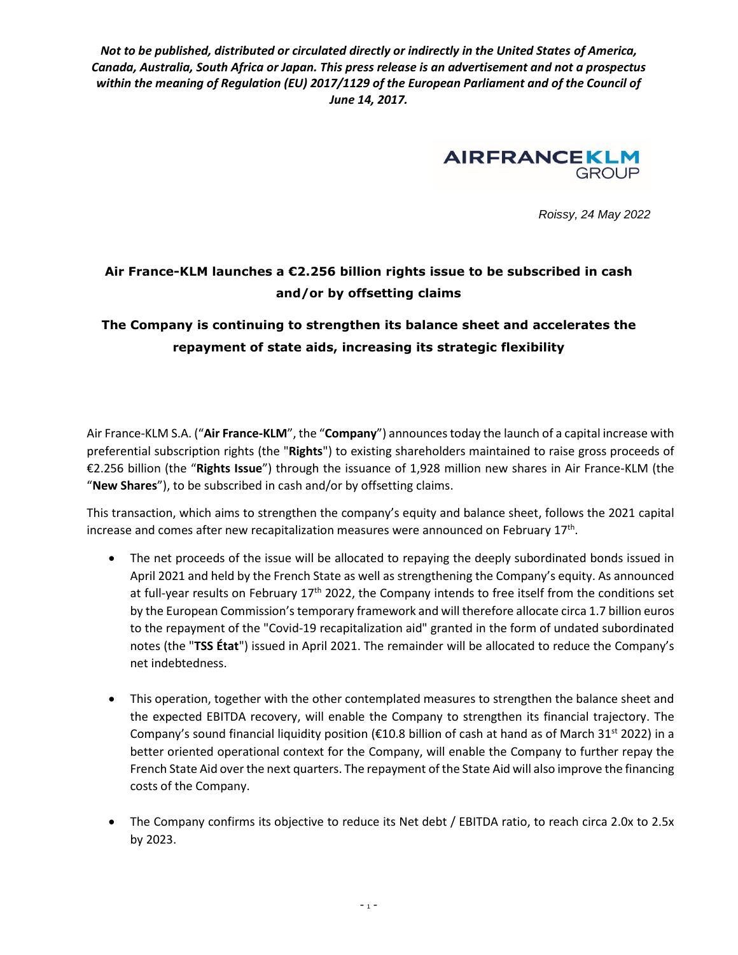*Not to be published, distributed or circulated directly or indirectly in the United States of America, Canada, Australia, South Africa or Japan. This press release is an advertisement and not a prospectus within the meaning of Regulation (EU) 2017/1129 of the European Parliament and of the Council of June 14, 2017.*



*Roissy, 24 May 2022*

# **Air France-KLM launches a €2.256 billion rights issue to be subscribed in cash and/or by offsetting claims**

## **The Company is continuing to strengthen its balance sheet and accelerates the repayment of state aids, increasing its strategic flexibility**

Air France-KLM S.A. ("**Air France-KLM**", the "**Company**") announces today the launch of a capital increase with preferential subscription rights (the "**Rights**") to existing shareholders maintained to raise gross proceeds of €2.256 billion (the "**Rights Issue**") through the issuance of 1,928 million new shares in Air France-KLM (the "**New Shares**"), to be subscribed in cash and/or by offsetting claims.

This transaction, which aims to strengthen the company's equity and balance sheet, follows the 2021 capital increase and comes after new recapitalization measures were announced on February 17<sup>th</sup>.

- The net proceeds of the issue will be allocated to repaying the deeply subordinated bonds issued in April 2021 and held by the French State as well as strengthening the Company's equity. As announced at full-year results on February  $17<sup>th</sup>$  2022, the Company intends to free itself from the conditions set by the European Commission's temporary framework and will therefore allocate circa 1.7 billion euros to the repayment of the "Covid-19 recapitalization aid" granted in the form of undated subordinated notes (the "**TSS État**") issued in April 2021. The remainder will be allocated to reduce the Company's net indebtedness.
- This operation, together with the other contemplated measures to strengthen the balance sheet and the expected EBITDA recovery, will enable the Company to strengthen its financial trajectory. The Company's sound financial liquidity position (€10.8 billion of cash at hand as of March 31<sup>st</sup> 2022) in a better oriented operational context for the Company, will enable the Company to further repay the French State Aid over the next quarters. The repayment of the State Aid will also improve the financing costs of the Company.
- The Company confirms its objective to reduce its Net debt / EBITDA ratio, to reach circa 2.0x to 2.5x by 2023.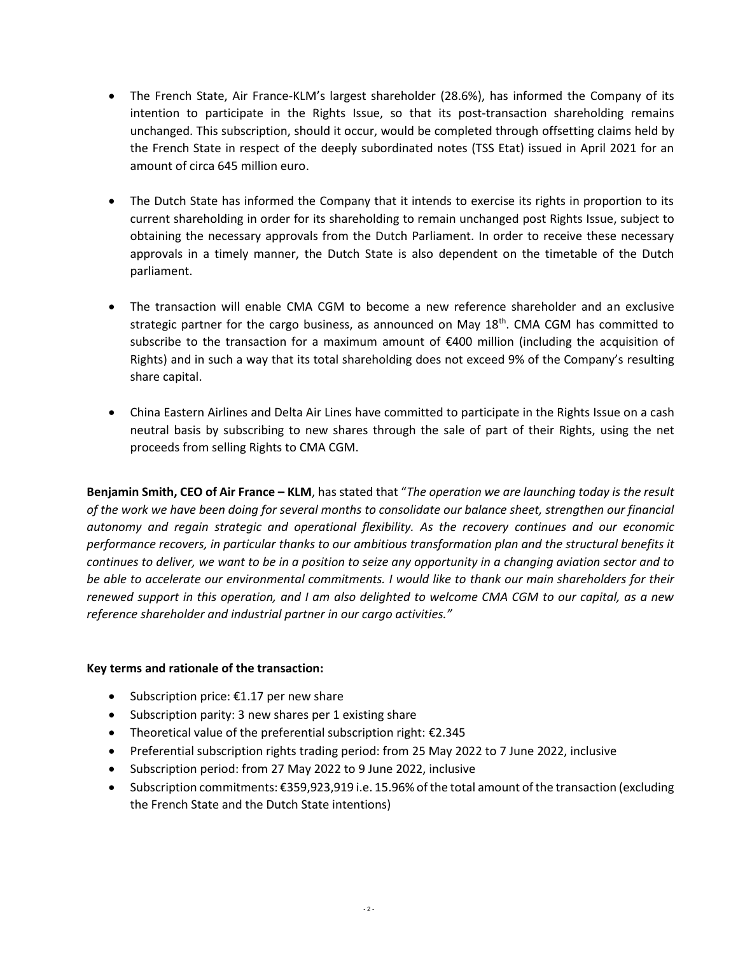- The French State, Air France-KLM's largest shareholder (28.6%), has informed the Company of its intention to participate in the Rights Issue, so that its post-transaction shareholding remains unchanged. This subscription, should it occur, would be completed through offsetting claims held by the French State in respect of the deeply subordinated notes (TSS Etat) issued in April 2021 for an amount of circa 645 million euro.
- The Dutch State has informed the Company that it intends to exercise its rights in proportion to its current shareholding in order for its shareholding to remain unchanged post Rights Issue, subject to obtaining the necessary approvals from the Dutch Parliament. In order to receive these necessary approvals in a timely manner, the Dutch State is also dependent on the timetable of the Dutch parliament.
- The transaction will enable CMA CGM to become a new reference shareholder and an exclusive strategic partner for the cargo business, as announced on May  $18<sup>th</sup>$ . CMA CGM has committed to subscribe to the transaction for a maximum amount of €400 million (including the acquisition of Rights) and in such a way that its total shareholding does not exceed 9% of the Company's resulting share capital.
- China Eastern Airlines and Delta Air Lines have committed to participate in the Rights Issue on a cash neutral basis by subscribing to new shares through the sale of part of their Rights, using the net proceeds from selling Rights to CMA CGM.

**Benjamin Smith, CEO of Air France – KLM**, has stated that "*The operation we are launching today is the result of the work we have been doing for several months to consolidate our balance sheet, strengthen our financial autonomy and regain strategic and operational flexibility. As the recovery continues and our economic performance recovers, in particular thanks to our ambitious transformation plan and the structural benefits it continues to deliver, we want to be in a position to seize any opportunity in a changing aviation sector and to be able to accelerate our environmental commitments. I would like to thank our main shareholders for their renewed support in this operation, and I am also delighted to welcome CMA CGM to our capital, as a new reference shareholder and industrial partner in our cargo activities."*

## **Key terms and rationale of the transaction:**

- Subscription price:  $€1.17$  per new share
- Subscription parity: 3 new shares per 1 existing share
- Theoretical value of the preferential subscription right: €2.345
- Preferential subscription rights trading period: from 25 May 2022 to 7 June 2022, inclusive
- Subscription period: from 27 May 2022 to 9 June 2022, inclusive
- Subscription commitments: €359,923,919 i.e. 15.96% of the total amount of the transaction (excluding the French State and the Dutch State intentions)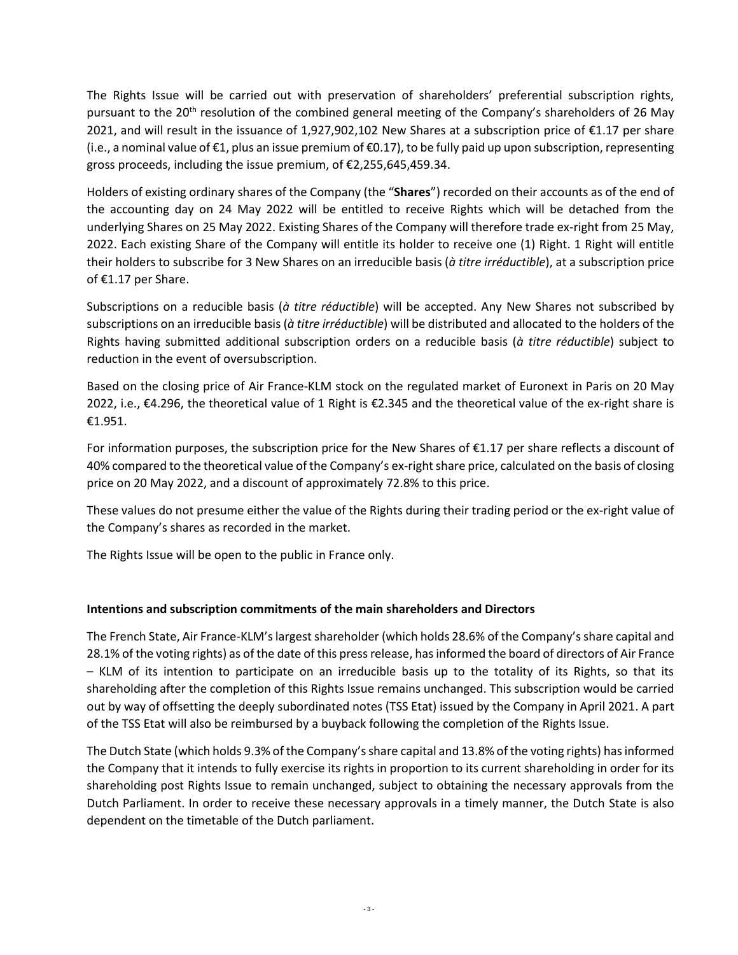The Rights Issue will be carried out with preservation of shareholders' preferential subscription rights, pursuant to the 20<sup>th</sup> resolution of the combined general meeting of the Company's shareholders of 26 May 2021, and will result in the issuance of 1,927,902,102 New Shares at a subscription price of €1.17 per share (i.e., a nominal value of €1, plus an issue premium of €0.17), to be fully paid up upon subscription, representing gross proceeds, including the issue premium, of €2,255,645,459.34.

Holders of existing ordinary shares of the Company (the "**Shares**") recorded on their accounts as of the end of the accounting day on 24 May 2022 will be entitled to receive Rights which will be detached from the underlying Shares on 25 May 2022. Existing Shares of the Company will therefore trade ex-right from 25 May, 2022. Each existing Share of the Company will entitle its holder to receive one (1) Right. 1 Right will entitle their holders to subscribe for 3 New Shares on an irreducible basis (*à titre irréductible*), at a subscription price of €1.17 per Share.

Subscriptions on a reducible basis (*à titre réductible*) will be accepted. Any New Shares not subscribed by subscriptions on an irreducible basis (*à titre irréductible*) will be distributed and allocated to the holders of the Rights having submitted additional subscription orders on a reducible basis (*à titre réductible*) subject to reduction in the event of oversubscription.

Based on the closing price of Air France-KLM stock on the regulated market of Euronext in Paris on 20 May 2022, i.e., €4.296, the theoretical value of 1 Right is €2.345 and the theoretical value of the ex-right share is €1.951.

For information purposes, the subscription price for the New Shares of  $\epsilon$ 1.17 per share reflects a discount of 40% compared to the theoretical value of the Company's ex-right share price, calculated on the basis of closing price on 20 May 2022, and a discount of approximately 72.8% to this price.

These values do not presume either the value of the Rights during their trading period or the ex-right value of the Company's shares as recorded in the market.

The Rights Issue will be open to the public in France only.

## **Intentions and subscription commitments of the main shareholders and Directors**

The French State, Air France-KLM's largest shareholder (which holds 28.6% of the Company's share capital and 28.1% of the voting rights) as of the date of this press release, has informed the board of directors of Air France – KLM of its intention to participate on an irreducible basis up to the totality of its Rights, so that its shareholding after the completion of this Rights Issue remains unchanged. This subscription would be carried out by way of offsetting the deeply subordinated notes (TSS Etat) issued by the Company in April 2021. A part of the TSS Etat will also be reimbursed by a buyback following the completion of the Rights Issue.

The Dutch State (which holds 9.3% of the Company's share capital and 13.8% of the voting rights) has informed the Company that it intends to fully exercise its rights in proportion to its current shareholding in order for its shareholding post Rights Issue to remain unchanged, subject to obtaining the necessary approvals from the Dutch Parliament. In order to receive these necessary approvals in a timely manner, the Dutch State is also dependent on the timetable of the Dutch parliament.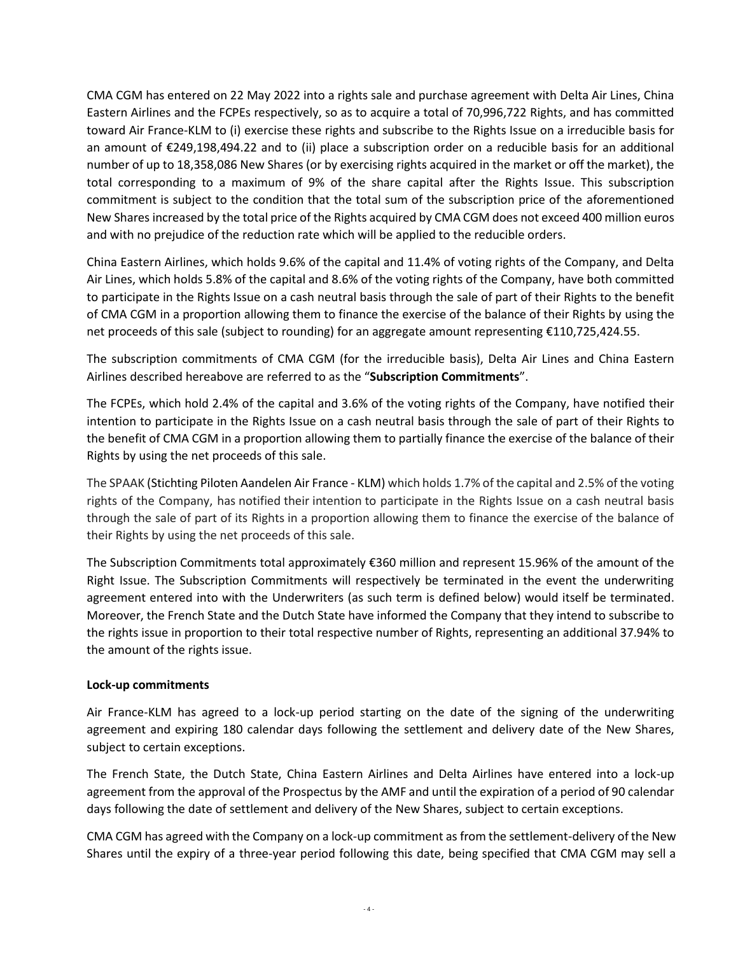CMA CGM has entered on 22 May 2022 into a rights sale and purchase agreement with Delta Air Lines, China Eastern Airlines and the FCPEs respectively, so as to acquire a total of 70,996,722 Rights, and has committed toward Air France-KLM to (i) exercise these rights and subscribe to the Rights Issue on a irreducible basis for an amount of €249,198,494.22 and to (ii) place a subscription order on a reducible basis for an additional number of up to 18,358,086 New Shares (or by exercising rights acquired in the market or off the market), the total corresponding to a maximum of 9% of the share capital after the Rights Issue. This subscription commitment is subject to the condition that the total sum of the subscription price of the aforementioned New Shares increased by the total price of the Rights acquired by CMA CGM does not exceed 400 million euros and with no prejudice of the reduction rate which will be applied to the reducible orders.

China Eastern Airlines, which holds 9.6% of the capital and 11.4% of voting rights of the Company, and Delta Air Lines, which holds 5.8% of the capital and 8.6% of the voting rights of the Company, have both committed to participate in the Rights Issue on a cash neutral basis through the sale of part of their Rights to the benefit of CMA CGM in a proportion allowing them to finance the exercise of the balance of their Rights by using the net proceeds of this sale (subject to rounding) for an aggregate amount representing €110,725,424.55.

The subscription commitments of CMA CGM (for the irreducible basis), Delta Air Lines and China Eastern Airlines described hereabove are referred to as the "**Subscription Commitments**".

The FCPEs, which hold 2.4% of the capital and 3.6% of the voting rights of the Company, have notified their intention to participate in the Rights Issue on a cash neutral basis through the sale of part of their Rights to the benefit of CMA CGM in a proportion allowing them to partially finance the exercise of the balance of their Rights by using the net proceeds of this sale.

The SPAAK (Stichting Piloten Aandelen Air France - KLM) which holds 1.7% of the capital and 2.5% of the voting rights of the Company, has notified their intention to participate in the Rights Issue on a cash neutral basis through the sale of part of its Rights in a proportion allowing them to finance the exercise of the balance of their Rights by using the net proceeds of this sale.

The Subscription Commitments total approximately €360 million and represent 15.96% of the amount of the Right Issue. The Subscription Commitments will respectively be terminated in the event the underwriting agreement entered into with the Underwriters (as such term is defined below) would itself be terminated. Moreover, the French State and the Dutch State have informed the Company that they intend to subscribe to the rights issue in proportion to their total respective number of Rights, representing an additional 37.94% to the amount of the rights issue.

## **Lock-up commitments**

Air France-KLM has agreed to a lock-up period starting on the date of the signing of the underwriting agreement and expiring 180 calendar days following the settlement and delivery date of the New Shares, subject to certain exceptions.

The French State, the Dutch State, China Eastern Airlines and Delta Airlines have entered into a lock-up agreement from the approval of the Prospectus by the AMF and until the expiration of a period of 90 calendar days following the date of settlement and delivery of the New Shares, subject to certain exceptions.

CMA CGM has agreed with the Company on a lock-up commitment as from the settlement-delivery of the New Shares until the expiry of a three-year period following this date, being specified that CMA CGM may sell a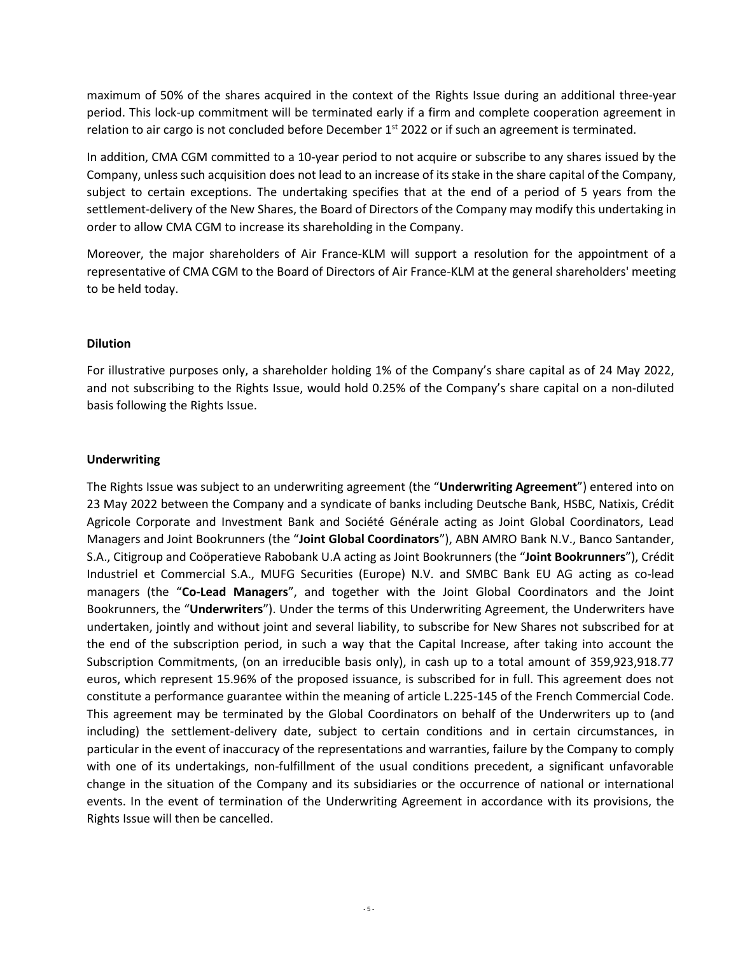maximum of 50% of the shares acquired in the context of the Rights Issue during an additional three-year period. This lock-up commitment will be terminated early if a firm and complete cooperation agreement in relation to air cargo is not concluded before December 1<sup>st</sup> 2022 or if such an agreement is terminated.

In addition, CMA CGM committed to a 10-year period to not acquire or subscribe to any shares issued by the Company, unless such acquisition does not lead to an increase of its stake in the share capital of the Company, subject to certain exceptions. The undertaking specifies that at the end of a period of 5 years from the settlement-delivery of the New Shares, the Board of Directors of the Company may modify this undertaking in order to allow CMA CGM to increase its shareholding in the Company.

Moreover, the major shareholders of Air France-KLM will support a resolution for the appointment of a representative of CMA CGM to the Board of Directors of Air France-KLM at the general shareholders' meeting to be held today.

#### **Dilution**

For illustrative purposes only, a shareholder holding 1% of the Company's share capital as of 24 May 2022, and not subscribing to the Rights Issue, would hold 0.25% of the Company's share capital on a non-diluted basis following the Rights Issue.

## **Underwriting**

The Rights Issue was subject to an underwriting agreement (the "**Underwriting Agreement**") entered into on 23 May 2022 between the Company and a syndicate of banks including Deutsche Bank, HSBC, Natixis, Crédit Agricole Corporate and Investment Bank and Société Générale acting as Joint Global Coordinators, Lead Managers and Joint Bookrunners (the "**Joint Global Coordinators**"), ABN AMRO Bank N.V., Banco Santander, S.A., Citigroup and Coöperatieve Rabobank U.A acting as Joint Bookrunners (the "**Joint Bookrunners**"), Crédit Industriel et Commercial S.A., MUFG Securities (Europe) N.V. and SMBC Bank EU AG acting as co-lead managers (the "**Co-Lead Managers**", and together with the Joint Global Coordinators and the Joint Bookrunners, the "**Underwriters**"). Under the terms of this Underwriting Agreement, the Underwriters have undertaken, jointly and without joint and several liability, to subscribe for New Shares not subscribed for at the end of the subscription period, in such a way that the Capital Increase, after taking into account the Subscription Commitments, (on an irreducible basis only), in cash up to a total amount of 359,923,918.77 euros, which represent 15.96% of the proposed issuance, is subscribed for in full. This agreement does not constitute a performance guarantee within the meaning of article L.225-145 of the French Commercial Code. This agreement may be terminated by the Global Coordinators on behalf of the Underwriters up to (and including) the settlement-delivery date, subject to certain conditions and in certain circumstances, in particular in the event of inaccuracy of the representations and warranties, failure by the Company to comply with one of its undertakings, non-fulfillment of the usual conditions precedent, a significant unfavorable change in the situation of the Company and its subsidiaries or the occurrence of national or international events. In the event of termination of the Underwriting Agreement in accordance with its provisions, the Rights Issue will then be cancelled.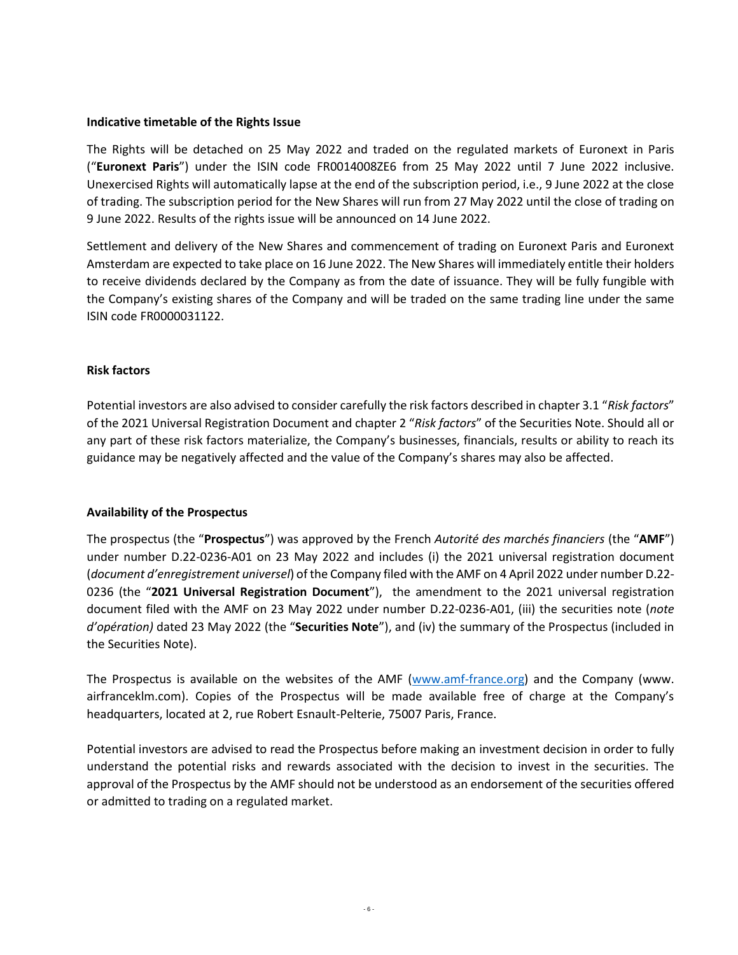#### **Indicative timetable of the Rights Issue**

The Rights will be detached on 25 May 2022 and traded on the regulated markets of Euronext in Paris ("**Euronext Paris**") under the ISIN code FR0014008ZE6 from 25 May 2022 until 7 June 2022 inclusive. Unexercised Rights will automatically lapse at the end of the subscription period, i.e., 9 June 2022 at the close of trading. The subscription period for the New Shares will run from 27 May 2022 until the close of trading on 9 June 2022. Results of the rights issue will be announced on 14 June 2022.

Settlement and delivery of the New Shares and commencement of trading on Euronext Paris and Euronext Amsterdam are expected to take place on 16 June 2022. The New Shares will immediately entitle their holders to receive dividends declared by the Company as from the date of issuance. They will be fully fungible with the Company's existing shares of the Company and will be traded on the same trading line under the same ISIN code FR0000031122.

#### **Risk factors**

Potential investors are also advised to consider carefully the risk factors described in chapter 3.1 "*Risk factors*" of the 2021 Universal Registration Document and chapter 2 "*Risk factors*" of the Securities Note. Should all or any part of these risk factors materialize, the Company's businesses, financials, results or ability to reach its guidance may be negatively affected and the value of the Company's shares may also be affected.

## **Availability of the Prospectus**

The prospectus (the "**Prospectus**") was approved by the French *Autorité des marchés financiers* (the "**AMF**") under number D.22-0236-A01 on 23 May 2022 and includes (i) the 2021 universal registration document (*document d'enregistrement universel*) of the Company filed with the AMF on 4 April 2022 under number D.22- 0236 (the "**2021 Universal Registration Document**"), the amendment to the 2021 universal registration document filed with the AMF on 23 May 2022 under number D.22-0236-A01, (iii) the securities note (*note d'opération)* dated 23 May 2022 (the "**Securities Note**"), and (iv) the summary of the Prospectus (included in the Securities Note).

The Prospectus is available on the websites of the AMF [\(www.amf-france.org\)](http://www.amf-france.org/) and the Company (www. airfranceklm.com). Copies of the Prospectus will be made available free of charge at the Company's headquarters, located at 2, rue Robert Esnault-Pelterie, 75007 Paris, France.

Potential investors are advised to read the Prospectus before making an investment decision in order to fully understand the potential risks and rewards associated with the decision to invest in the securities. The approval of the Prospectus by the AMF should not be understood as an endorsement of the securities offered or admitted to trading on a regulated market.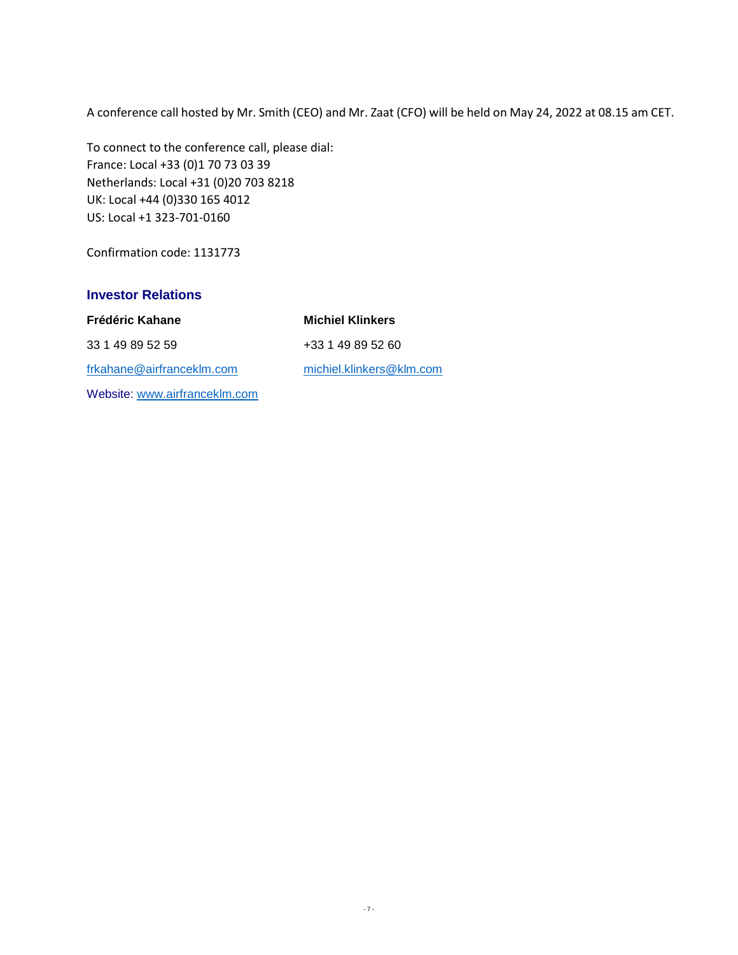A conference call hosted by Mr. Smith (CEO) and Mr. Zaat (CFO) will be held on May 24, 2022 at 08.15 am CET.

To connect to the conference call, please dial: France: Local +33 (0)1 70 73 03 39 Netherlands: Local +31 (0)20 703 8218 UK: Local +44 (0)330 165 4012 US: Local +1 323-701-0160

Confirmation code: 1131773

## **Investor Relations**

[frkahane@airfranceklm.com](mailto:olgall@airfranceklm.com) [michiel.klinkers@klm.com](mailto:michiel.klinkers@klm.com)  Website: [www.airfranceklm.com](http://www.airfranceklm.com/)

**Frédéric Kahane Michiel Klinkers** 33 1 49 89 52 59 +33 1 49 89 52 60

- 7 -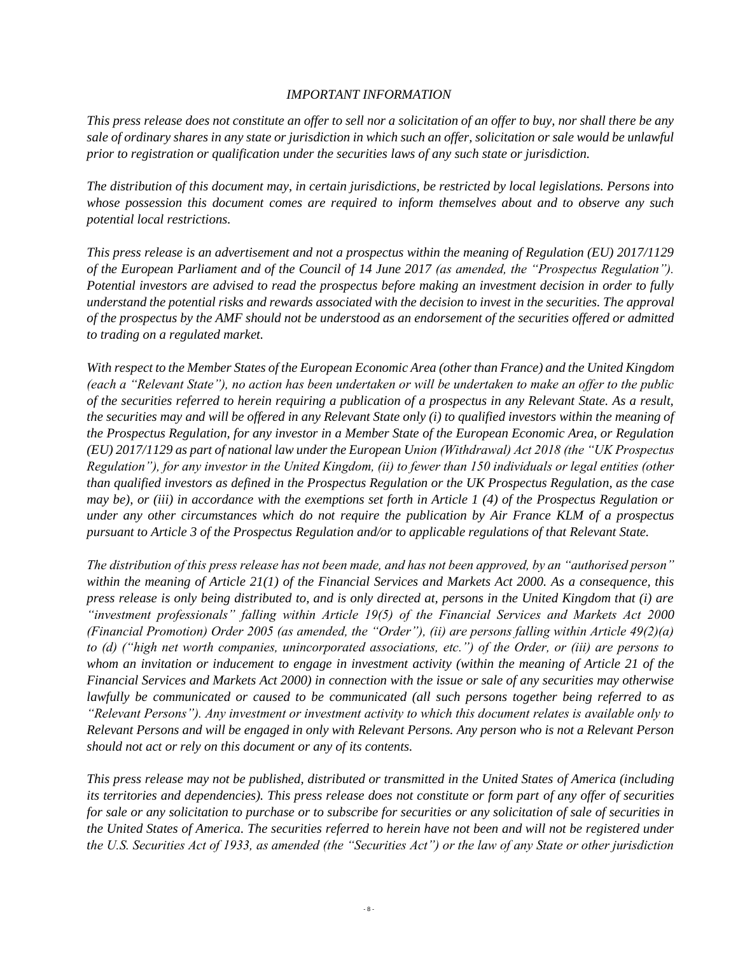#### *IMPORTANT INFORMATION*

*This press release does not constitute an offer to sell nor a solicitation of an offer to buy, nor shall there be any sale of ordinary shares in any state or jurisdiction in which such an offer, solicitation or sale would be unlawful prior to registration or qualification under the securities laws of any such state or jurisdiction.* 

*The distribution of this document may, in certain jurisdictions, be restricted by local legislations. Persons into whose possession this document comes are required to inform themselves about and to observe any such potential local restrictions.* 

*This press release is an advertisement and not a prospectus within the meaning of Regulation (EU) 2017/1129 of the European Parliament and of the Council of 14 June 2017 (as amended, the "Prospectus Regulation"). Potential investors are advised to read the prospectus before making an investment decision in order to fully understand the potential risks and rewards associated with the decision to invest in the securities. The approval of the prospectus by the AMF should not be understood as an endorsement of the securities offered or admitted to trading on a regulated market.*

*With respect to the Member States of the European Economic Area (other than France) and the United Kingdom (each a "Relevant State"), no action has been undertaken or will be undertaken to make an offer to the public of the securities referred to herein requiring a publication of a prospectus in any Relevant State. As a result, the securities may and will be offered in any Relevant State only (i) to qualified investors within the meaning of the Prospectus Regulation, for any investor in a Member State of the European Economic Area, or Regulation (EU) 2017/1129 as part of national law under the European Union (Withdrawal) Act 2018 (the "UK Prospectus Regulation"), for any investor in the United Kingdom, (ii) to fewer than 150 individuals or legal entities (other than qualified investors as defined in the Prospectus Regulation or the UK Prospectus Regulation, as the case may be), or (iii) in accordance with the exemptions set forth in Article 1 (4) of the Prospectus Regulation or under any other circumstances which do not require the publication by Air France KLM of a prospectus pursuant to Article 3 of the Prospectus Regulation and/or to applicable regulations of that Relevant State.* 

*The distribution of this press release has not been made, and has not been approved, by an "authorised person" within the meaning of Article 21(1) of the Financial Services and Markets Act 2000. As a consequence, this press release is only being distributed to, and is only directed at, persons in the United Kingdom that (i) are "investment professionals" falling within Article 19(5) of the Financial Services and Markets Act 2000 (Financial Promotion) Order 2005 (as amended, the "Order"), (ii) are persons falling within Article 49(2)(a) to (d) ("high net worth companies, unincorporated associations, etc.") of the Order, or (iii) are persons to whom an invitation or inducement to engage in investment activity (within the meaning of Article 21 of the Financial Services and Markets Act 2000) in connection with the issue or sale of any securities may otherwise lawfully be communicated or caused to be communicated (all such persons together being referred to as "Relevant Persons"). Any investment or investment activity to which this document relates is available only to Relevant Persons and will be engaged in only with Relevant Persons. Any person who is not a Relevant Person should not act or rely on this document or any of its contents.* 

*This press release may not be published, distributed or transmitted in the United States of America (including its territories and dependencies). This press release does not constitute or form part of any offer of securities for sale or any solicitation to purchase or to subscribe for securities or any solicitation of sale of securities in the United States of America. The securities referred to herein have not been and will not be registered under the U.S. Securities Act of 1933, as amended (the "Securities Act") or the law of any State or other jurisdiction*